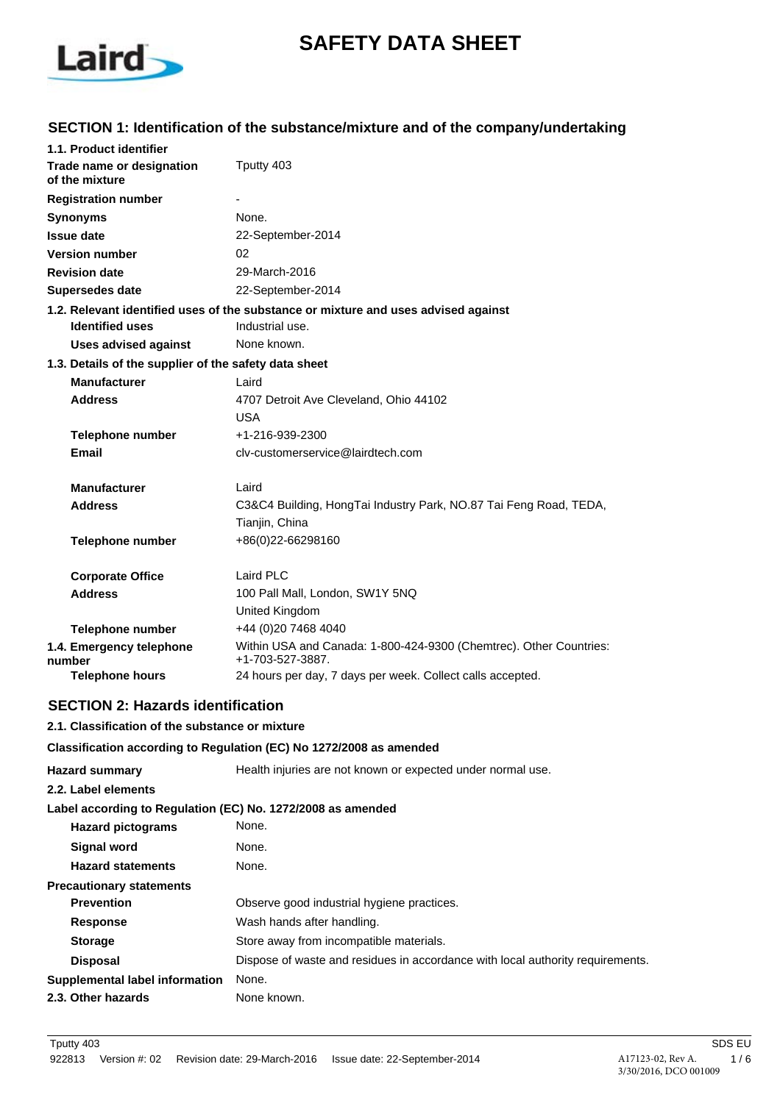

# **SAFETY DATA SHEET**

# **SECTION 1: Identification of the substance/mixture and of the company/undertaking**

| 1.1. Product identifier                               |                                                                                        |  |
|-------------------------------------------------------|----------------------------------------------------------------------------------------|--|
| Trade name or designation<br>of the mixture           | Tputty 403                                                                             |  |
| <b>Registration number</b>                            |                                                                                        |  |
| <b>Synonyms</b>                                       | None.                                                                                  |  |
| <b>Issue date</b>                                     | 22-September-2014                                                                      |  |
| <b>Version number</b>                                 | 02                                                                                     |  |
| <b>Revision date</b>                                  | 29-March-2016                                                                          |  |
| <b>Supersedes date</b>                                | 22-September-2014                                                                      |  |
|                                                       | 1.2. Relevant identified uses of the substance or mixture and uses advised against     |  |
| <b>Identified uses</b>                                | Industrial use.                                                                        |  |
| <b>Uses advised against</b>                           | None known.                                                                            |  |
| 1.3. Details of the supplier of the safety data sheet |                                                                                        |  |
| <b>Manufacturer</b>                                   | Laird                                                                                  |  |
| <b>Address</b>                                        | 4707 Detroit Ave Cleveland, Ohio 44102                                                 |  |
|                                                       | <b>USA</b>                                                                             |  |
| <b>Telephone number</b>                               | +1-216-939-2300                                                                        |  |
| Email                                                 | clv-customerservice@lairdtech.com                                                      |  |
| <b>Manufacturer</b>                                   | Laird                                                                                  |  |
| <b>Address</b>                                        |                                                                                        |  |
|                                                       | C3&C4 Building, HongTai Industry Park, NO.87 Tai Feng Road, TEDA,<br>Tianjin, China    |  |
| <b>Telephone number</b>                               | +86(0)22-66298160                                                                      |  |
| <b>Corporate Office</b>                               | Laird PLC                                                                              |  |
| <b>Address</b>                                        | 100 Pall Mall, London, SW1Y 5NQ                                                        |  |
|                                                       | United Kingdom                                                                         |  |
| <b>Telephone number</b>                               | +44 (0)20 7468 4040                                                                    |  |
| 1.4. Emergency telephone<br>number                    | Within USA and Canada: 1-800-424-9300 (Chemtrec). Other Countries:<br>+1-703-527-3887. |  |
| <b>Telephone hours</b>                                | 24 hours per day, 7 days per week. Collect calls accepted.                             |  |

## **SECTION 2: Hazards identification**

### **2.1. Classification of the substance or mixture**

#### **Classification according to Regulation (EC) No 1272/2008 as amended**

| <b>Hazard summary</b>                                       | Health injuries are not known or expected under normal use.                    |  |
|-------------------------------------------------------------|--------------------------------------------------------------------------------|--|
| 2.2. Label elements                                         |                                                                                |  |
| Label according to Regulation (EC) No. 1272/2008 as amended |                                                                                |  |
| <b>Hazard pictograms</b>                                    | None.                                                                          |  |
| <b>Signal word</b>                                          | None.                                                                          |  |
| <b>Hazard statements</b>                                    | None.                                                                          |  |
| <b>Precautionary statements</b>                             |                                                                                |  |
| <b>Prevention</b>                                           | Observe good industrial hygiene practices.                                     |  |
| <b>Response</b>                                             | Wash hands after handling.                                                     |  |
| <b>Storage</b>                                              | Store away from incompatible materials.                                        |  |
| <b>Disposal</b>                                             | Dispose of waste and residues in accordance with local authority requirements. |  |
| Supplemental label information                              | None.                                                                          |  |
| 2.3. Other hazards                                          | None known.                                                                    |  |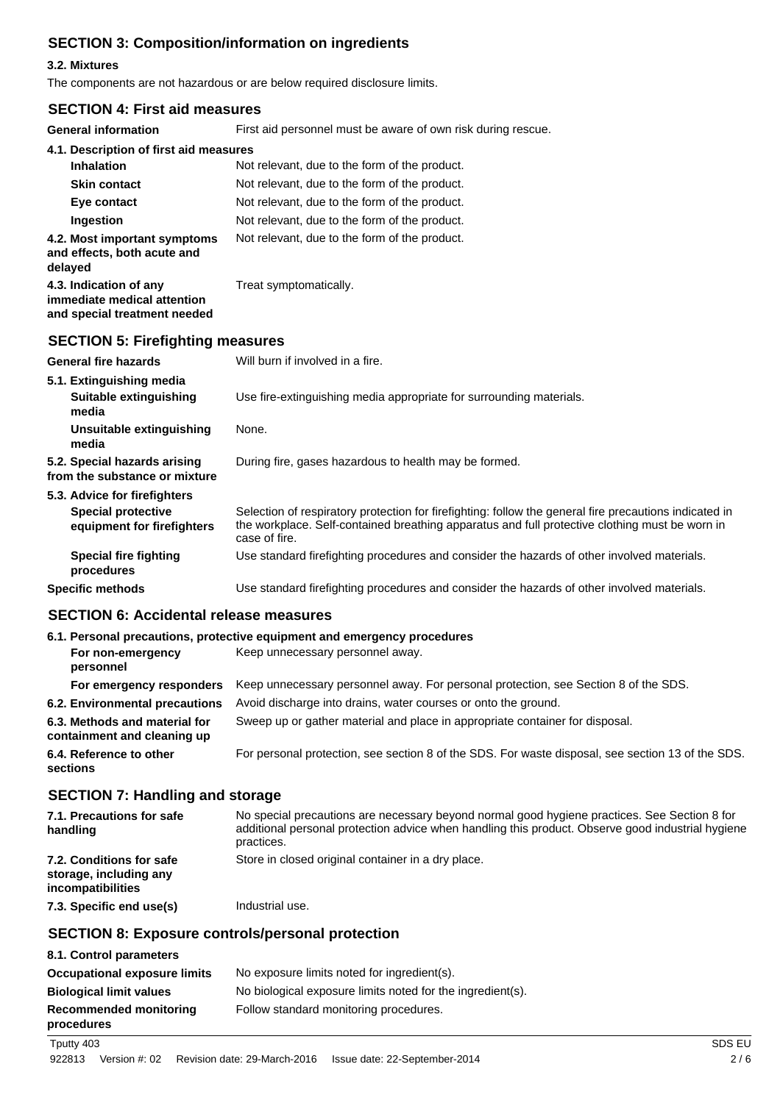# **SECTION 3: Composition/information on ingredients**

### **3.2. Mixtures**

The components are not hazardous or are below required disclosure limits.

### **SECTION 4: First aid measures**

**General information** First aid personnel must be aware of own risk during rescue.

| General Information                                                                   | First ald personnel must be aware of own risk during rescue. |
|---------------------------------------------------------------------------------------|--------------------------------------------------------------|
| 4.1. Description of first aid measures                                                |                                                              |
| <b>Inhalation</b>                                                                     | Not relevant, due to the form of the product.                |
| <b>Skin contact</b>                                                                   | Not relevant, due to the form of the product.                |
| Eye contact                                                                           | Not relevant, due to the form of the product.                |
| Ingestion                                                                             | Not relevant, due to the form of the product.                |
| 4.2. Most important symptoms<br>and effects, both acute and<br>delayed                | Not relevant, due to the form of the product.                |
| 4.3. Indication of any<br>immediate medical attention<br>and special treatment needed | Treat symptomatically.                                       |
| <b>SECTION 5: Firefighting measures</b>                                               |                                                              |
| <b>General fire hazards</b>                                                           | Will burn if involved in a fire.                             |

| 5.1. Extinguishing media<br>Suitable extinguishing<br>media                             | Use fire-extinguishing media appropriate for surrounding materials.                                                                                                                                                       |  |
|-----------------------------------------------------------------------------------------|---------------------------------------------------------------------------------------------------------------------------------------------------------------------------------------------------------------------------|--|
| Unsuitable extinguishing<br>media                                                       | None.                                                                                                                                                                                                                     |  |
| 5.2. Special hazards arising<br>from the substance or mixture                           | During fire, gases hazardous to health may be formed.                                                                                                                                                                     |  |
| 5.3. Advice for firefighters<br><b>Special protective</b><br>equipment for firefighters | Selection of respiratory protection for firefighting: follow the general fire precautions indicated in<br>the workplace. Self-contained breathing apparatus and full protective clothing must be worn in<br>case of fire. |  |
| Special fire fighting<br>procedures                                                     | Use standard firefighting procedures and consider the hazards of other involved materials.                                                                                                                                |  |
| <b>Specific methods</b>                                                                 | Use standard firefighting procedures and consider the hazards of other involved materials.                                                                                                                                |  |

### **SECTION 6: Accidental release measures**

|                                                              | 6.1. Personal precautions, protective equipment and emergency procedures                          |  |
|--------------------------------------------------------------|---------------------------------------------------------------------------------------------------|--|
| For non-emergency                                            | Keep unnecessary personnel away.                                                                  |  |
| For emergency responders                                     | Keep unnecessary personnel away. For personal protection, see Section 8 of the SDS.               |  |
| 6.2. Environmental precautions                               | Avoid discharge into drains, water courses or onto the ground.                                    |  |
| 6.3. Methods and material for<br>containment and cleaning up | Sweep up or gather material and place in appropriate container for disposal.                      |  |
| 6.4. Reference to other                                      | For personal protection, see section 8 of the SDS. For waste disposal, see section 13 of the SDS. |  |
|                                                              |                                                                                                   |  |

# **SECTION 7: Handling and storage**

| 7.1. Precautions for safe<br>handling                                   | No special precautions are necessary beyond normal good hygiene practices. See Section 8 for<br>additional personal protection advice when handling this product. Observe good industrial hygiene<br>practices. |
|-------------------------------------------------------------------------|-----------------------------------------------------------------------------------------------------------------------------------------------------------------------------------------------------------------|
| 7.2. Conditions for safe<br>storage, including any<br>incompatibilities | Store in closed original container in a dry place.                                                                                                                                                              |
| 7.3. Specific end use(s)                                                | Industrial use.                                                                                                                                                                                                 |

# **SECTION 8: Exposure controls/personal protection**

| 8.1. Control parameters                     |                                                            |
|---------------------------------------------|------------------------------------------------------------|
| <b>Occupational exposure limits</b>         | No exposure limits noted for ingredient(s).                |
| <b>Biological limit values</b>              | No biological exposure limits noted for the ingredient(s). |
| <b>Recommended monitoring</b><br>procedures | Follow standard monitoring procedures.                     |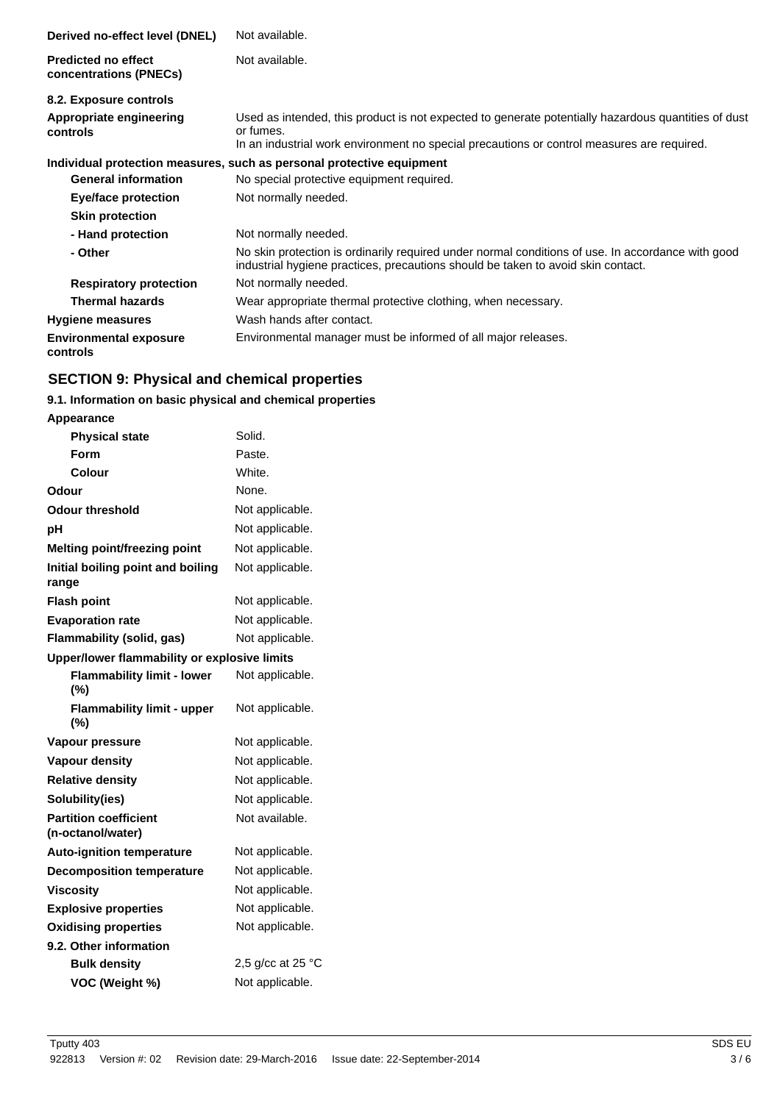| Derived no-effect level (DNEL)                       | Not available.                                                                                                                                                                                                 |
|------------------------------------------------------|----------------------------------------------------------------------------------------------------------------------------------------------------------------------------------------------------------------|
| <b>Predicted no effect</b><br>concentrations (PNECs) | Not available.                                                                                                                                                                                                 |
| 8.2. Exposure controls                               |                                                                                                                                                                                                                |
| Appropriate engineering<br>controls                  | Used as intended, this product is not expected to generate potentially hazardous quantities of dust<br>or fumes.<br>In an industrial work environment no special precautions or control measures are required. |
|                                                      |                                                                                                                                                                                                                |
|                                                      | Individual protection measures, such as personal protective equipment                                                                                                                                          |
| <b>General information</b>                           | No special protective equipment required.                                                                                                                                                                      |
| Eye/face protection                                  | Not normally needed.                                                                                                                                                                                           |
| <b>Skin protection</b>                               |                                                                                                                                                                                                                |
| - Hand protection                                    | Not normally needed.                                                                                                                                                                                           |
| - Other                                              | No skin protection is ordinarily required under normal conditions of use. In accordance with good<br>industrial hygiene practices, precautions should be taken to avoid skin contact.                          |
| <b>Respiratory protection</b>                        | Not normally needed.                                                                                                                                                                                           |
| <b>Thermal hazards</b>                               | Wear appropriate thermal protective clothing, when necessary.                                                                                                                                                  |
| <b>Hygiene measures</b>                              | Wash hands after contact.                                                                                                                                                                                      |
| <b>Environmental exposure</b><br>controls            | Environmental manager must be informed of all major releases.                                                                                                                                                  |

# **SECTION 9: Physical and chemical properties**

# **9.1. Information on basic physical and chemical properties**

| Appearance                                        |                             |
|---------------------------------------------------|-----------------------------|
| <b>Physical state</b>                             | Solid.                      |
| Form                                              | Paste.                      |
| Colour                                            | White.                      |
| Odour                                             | None.                       |
| <b>Odour threshold</b>                            | Not applicable.             |
| рH                                                | Not applicable.             |
| <b>Melting point/freezing point</b>               | Not applicable.             |
| Initial boiling point and boiling<br>range        | Not applicable.             |
| <b>Flash point</b>                                | Not applicable.             |
| <b>Evaporation rate</b>                           | Not applicable.             |
| Flammability (solid, gas)                         | Not applicable.             |
| Upper/lower flammability or explosive limits      |                             |
| <b>Flammability limit - lower</b><br>$(\%)$       | Not applicable.             |
| <b>Flammability limit - upper</b><br>(%)          | Not applicable.             |
| Vapour pressure                                   | Not applicable.             |
| <b>Vapour density</b>                             | Not applicable.             |
| <b>Relative density</b>                           | Not applicable.             |
| Solubility(ies)                                   | Not applicable.             |
| <b>Partition coefficient</b><br>(n-octanol/water) | Not available.              |
| <b>Auto-ignition temperature</b>                  | Not applicable.             |
| <b>Decomposition temperature</b>                  | Not applicable.             |
| <b>Viscosity</b>                                  | Not applicable.             |
| <b>Explosive properties</b>                       | Not applicable.             |
|                                                   |                             |
| <b>Oxidising properties</b>                       | Not applicable.             |
| 9.2. Other information                            |                             |
| <b>Bulk density</b>                               | 2,5 g/cc at 25 $^{\circ}$ C |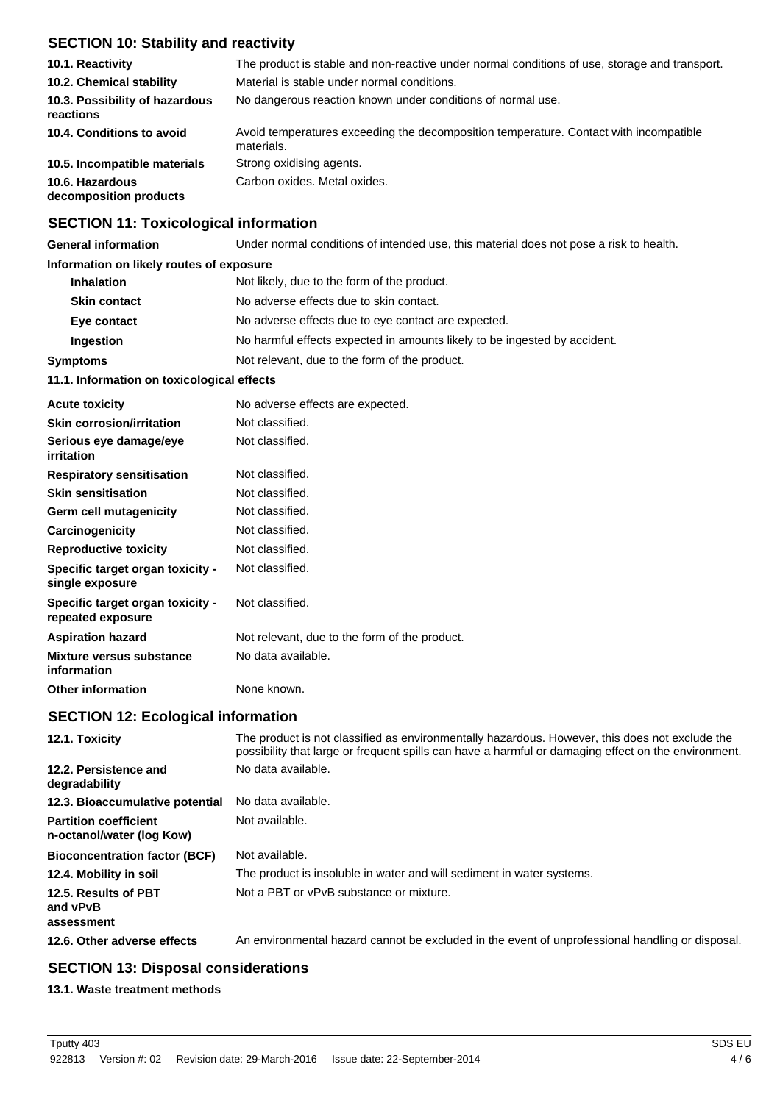# **SECTION 10: Stability and reactivity**

| 10.1. Reactivity                            | The product is stable and non-reactive under normal conditions of use, storage and transport.       |  |
|---------------------------------------------|-----------------------------------------------------------------------------------------------------|--|
| 10.2. Chemical stability                    | Material is stable under normal conditions.                                                         |  |
| 10.3. Possibility of hazardous<br>reactions | No dangerous reaction known under conditions of normal use.                                         |  |
| 10.4. Conditions to avoid                   | Avoid temperatures exceeding the decomposition temperature. Contact with incompatible<br>materials. |  |
| 10.5. Incompatible materials                | Strong oxidising agents.                                                                            |  |
| 10.6. Hazardous<br>decomposition products   | Carbon oxides. Metal oxides.                                                                        |  |

### **SECTION 11: Toxicological information**

**General information** Under normal conditions of intended use, this material does not pose a risk to health.

### **Information on likely routes of exposure**

| <b>Inhalation</b>                                                | Not likely, due to the form of the product.                               |  |
|------------------------------------------------------------------|---------------------------------------------------------------------------|--|
| <b>Skin contact</b>                                              | No adverse effects due to skin contact.                                   |  |
| Eye contact                                                      | No adverse effects due to eye contact are expected.                       |  |
| Ingestion                                                        | No harmful effects expected in amounts likely to be ingested by accident. |  |
| Not relevant, due to the form of the product.<br><b>Symptoms</b> |                                                                           |  |
| 11.1. Information on toxicological effects                       |                                                                           |  |
| <b>Acute toxicity</b>                                            | No adverse effects are expected.                                          |  |

| <b>AVULU LUAIVILY</b>                                 | <b>No davoice choole die expected.</b>        |
|-------------------------------------------------------|-----------------------------------------------|
| <b>Skin corrosion/irritation</b>                      | Not classified.                               |
| Serious eye damage/eye<br>irritation                  | Not classified.                               |
| <b>Respiratory sensitisation</b>                      | Not classified.                               |
| <b>Skin sensitisation</b>                             | Not classified.                               |
| Germ cell mutagenicity                                | Not classified.                               |
| Carcinogenicity                                       | Not classified.                               |
| <b>Reproductive toxicity</b>                          | Not classified.                               |
| Specific target organ toxicity -<br>single exposure   | Not classified.                               |
| Specific target organ toxicity -<br>repeated exposure | Not classified.                               |
| <b>Aspiration hazard</b>                              | Not relevant, due to the form of the product. |
| Mixture versus substance<br>information               | No data available.                            |
| <b>Other information</b>                              | None known.                                   |

## **SECTION 12: Ecological information**

| 12.1. Toxicity                                            | The product is not classified as environmentally hazardous. However, this does not exclude the<br>possibility that large or frequent spills can have a harmful or damaging effect on the environment. |
|-----------------------------------------------------------|-------------------------------------------------------------------------------------------------------------------------------------------------------------------------------------------------------|
| 12.2. Persistence and<br>degradability                    | No data available.                                                                                                                                                                                    |
| 12.3. Bioaccumulative potential                           | No data available.                                                                                                                                                                                    |
| <b>Partition coefficient</b><br>n-octanol/water (log Kow) | Not available.                                                                                                                                                                                        |
| <b>Bioconcentration factor (BCF)</b>                      | Not available.                                                                                                                                                                                        |
| 12.4. Mobility in soil                                    | The product is insoluble in water and will sediment in water systems.                                                                                                                                 |
| 12.5. Results of PBT<br>and vPvB<br>assessment            | Not a PBT or vPvB substance or mixture.                                                                                                                                                               |
| 12.6. Other adverse effects                               | An environmental hazard cannot be excluded in the event of unprofessional handling or disposal.                                                                                                       |

# **SECTION 13: Disposal considerations**

### **13.1. Waste treatment methods**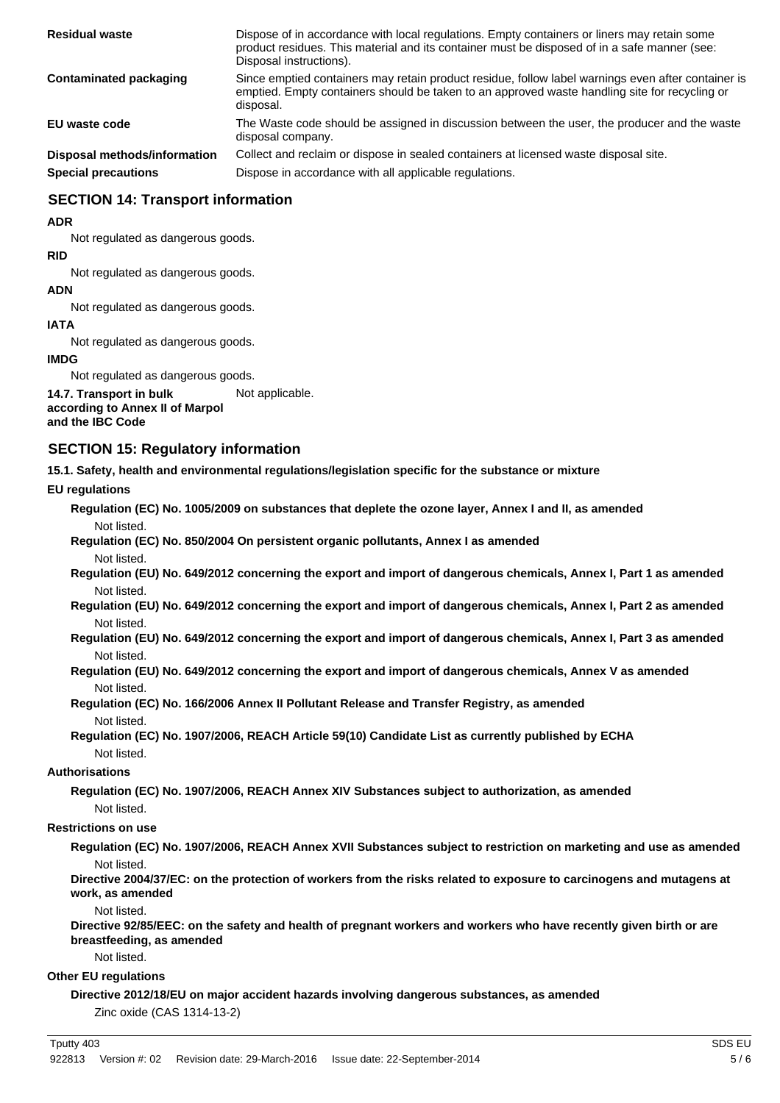| <b>Residual waste</b>        | Dispose of in accordance with local regulations. Empty containers or liners may retain some<br>product residues. This material and its container must be disposed of in a safe manner (see:<br>Disposal instructions). |
|------------------------------|------------------------------------------------------------------------------------------------------------------------------------------------------------------------------------------------------------------------|
| Contaminated packaging       | Since emptied containers may retain product residue, follow label warnings even after container is<br>emptied. Empty containers should be taken to an approved waste handling site for recycling or<br>disposal.       |
| EU waste code                | The Waste code should be assigned in discussion between the user, the producer and the waste<br>disposal company.                                                                                                      |
| Disposal methods/information | Collect and reclaim or dispose in sealed containers at licensed waste disposal site.                                                                                                                                   |
| <b>Special precautions</b>   | Dispose in accordance with all applicable regulations.                                                                                                                                                                 |

# **SECTION 14: Transport information**

#### **ADR**

Not regulated as dangerous goods.

#### **RID**

Not regulated as dangerous goods.

#### **ADN**

Not regulated as dangerous goods.

### **IATA**

Not regulated as dangerous goods.

#### **IMDG**

Not regulated as dangerous goods.

**14.7. Transport in bulk** Not applicable. **according to Annex II of Marpol**

## **and the IBC Code**

## **SECTION 15: Regulatory information**

**15.1. Safety, health and environmental regulations/legislation specific for the substance or mixture**

### **EU regulations**

**Regulation (EC) No. 1005/2009 on substances that deplete the ozone layer, Annex I and II, as amended** Not listed.

**Regulation (EC) No. 850/2004 On persistent organic pollutants, Annex I as amended** Not listed.

**Regulation (EU) No. 649/2012 concerning the export and import of dangerous chemicals, Annex I, Part 1 as amended** Not listed.

**Regulation (EU) No. 649/2012 concerning the export and import of dangerous chemicals, Annex I, Part 2 as amended** Not listed.

**Regulation (EU) No. 649/2012 concerning the export and import of dangerous chemicals, Annex I, Part 3 as amended** Not listed.

**Regulation (EU) No. 649/2012 concerning the export and import of dangerous chemicals, Annex V as amended** Not listed.

**Regulation (EC) No. 166/2006 Annex II Pollutant Release and Transfer Registry, as amended** Not listed.

**Regulation (EC) No. 1907/2006, REACH Article 59(10) Candidate List as currently published by ECHA** Not listed.

### **Authorisations**

**Regulation (EC) No. 1907/2006, REACH Annex XIV Substances subject to authorization, as amended** Not listed.

### **Restrictions on use**

**Regulation (EC) No. 1907/2006, REACH Annex XVII Substances subject to restriction on marketing and use as amended** Not listed.

**Directive 2004/37/EC: on the protection of workers from the risks related to exposure to carcinogens and mutagens at work, as amended**

Not listed.

**Directive 92/85/EEC: on the safety and health of pregnant workers and workers who have recently given birth or are breastfeeding, as amended**

Not listed.

### **Other EU regulations**

**Directive 2012/18/EU on major accident hazards involving dangerous substances, as amended**